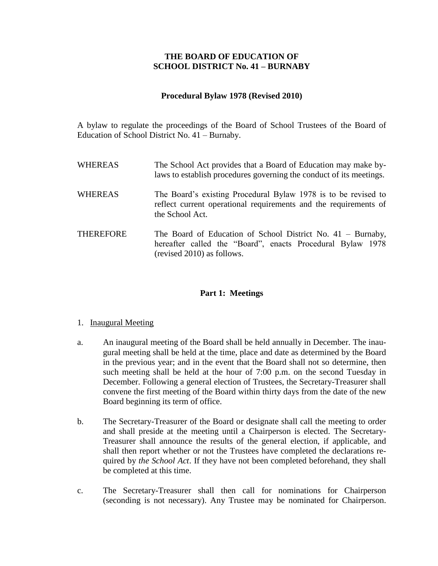# **THE BOARD OF EDUCATION OF SCHOOL DISTRICT No. 41 – BURNABY**

### **Procedural Bylaw 1978 (Revised 2010)**

A bylaw to regulate the proceedings of the Board of School Trustees of the Board of Education of School District No. 41 – Burnaby.

| <b>WHEREAS</b>   | The School Act provides that a Board of Education may make by-<br>laws to establish procedures governing the conduct of its meetings.                             |
|------------------|-------------------------------------------------------------------------------------------------------------------------------------------------------------------|
| <b>WHEREAS</b>   | The Board's existing Procedural Bylaw 1978 is to be revised to<br>reflect current operational requirements and the requirements of<br>the School Act.             |
| <b>THEREFORE</b> | The Board of Education of School District No. $41 - \text{Burnaby}$ ,<br>hereafter called the "Board", enacts Procedural Bylaw 1978<br>(revised 2010) as follows. |

# **Part 1: Meetings**

### 1. Inaugural Meeting

- a. An inaugural meeting of the Board shall be held annually in December. The inaugural meeting shall be held at the time, place and date as determined by the Board in the previous year; and in the event that the Board shall not so determine, then such meeting shall be held at the hour of 7:00 p.m. on the second Tuesday in December. Following a general election of Trustees, the Secretary-Treasurer shall convene the first meeting of the Board within thirty days from the date of the new Board beginning its term of office.
- b. The Secretary-Treasurer of the Board or designate shall call the meeting to order and shall preside at the meeting until a Chairperson is elected. The Secretary-Treasurer shall announce the results of the general election, if applicable, and shall then report whether or not the Trustees have completed the declarations required by *the School Act*. If they have not been completed beforehand, they shall be completed at this time.
- c. The Secretary-Treasurer shall then call for nominations for Chairperson (seconding is not necessary). Any Trustee may be nominated for Chairperson.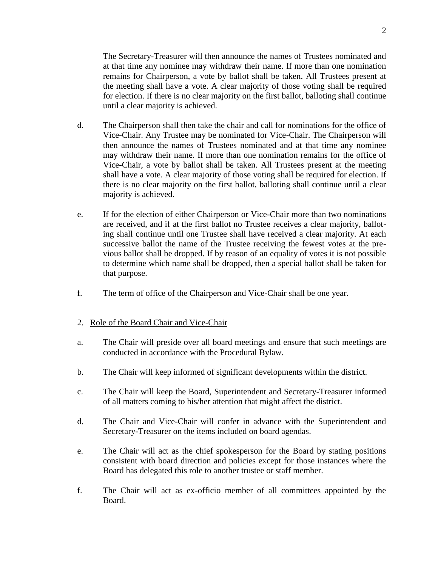The Secretary-Treasurer will then announce the names of Trustees nominated and at that time any nominee may withdraw their name. If more than one nomination remains for Chairperson, a vote by ballot shall be taken. All Trustees present at the meeting shall have a vote. A clear majority of those voting shall be required for election. If there is no clear majority on the first ballot, balloting shall continue until a clear majority is achieved.

- d. The Chairperson shall then take the chair and call for nominations for the office of Vice-Chair. Any Trustee may be nominated for Vice-Chair. The Chairperson will then announce the names of Trustees nominated and at that time any nominee may withdraw their name. If more than one nomination remains for the office of Vice-Chair, a vote by ballot shall be taken. All Trustees present at the meeting shall have a vote. A clear majority of those voting shall be required for election. If there is no clear majority on the first ballot, balloting shall continue until a clear majority is achieved.
- e. If for the election of either Chairperson or Vice-Chair more than two nominations are received, and if at the first ballot no Trustee receives a clear majority, balloting shall continue until one Trustee shall have received a clear majority. At each successive ballot the name of the Trustee receiving the fewest votes at the previous ballot shall be dropped. If by reason of an equality of votes it is not possible to determine which name shall be dropped, then a special ballot shall be taken for that purpose.
- f. The term of office of the Chairperson and Vice-Chair shall be one year.

### 2. Role of the Board Chair and Vice-Chair

- a. The Chair will preside over all board meetings and ensure that such meetings are conducted in accordance with the Procedural Bylaw.
- b. The Chair will keep informed of significant developments within the district.
- c. The Chair will keep the Board, Superintendent and Secretary-Treasurer informed of all matters coming to his/her attention that might affect the district.
- d. The Chair and Vice-Chair will confer in advance with the Superintendent and Secretary-Treasurer on the items included on board agendas.
- e. The Chair will act as the chief spokesperson for the Board by stating positions consistent with board direction and policies except for those instances where the Board has delegated this role to another trustee or staff member.
- f. The Chair will act as ex-officio member of all committees appointed by the Board.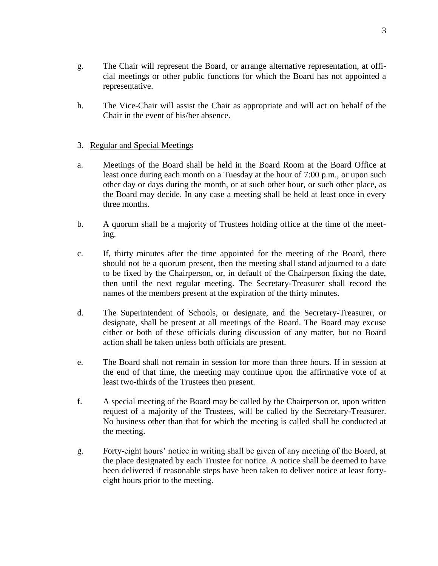h. The Vice-Chair will assist the Chair as appropriate and will act on behalf of the Chair in the event of his/her absence.

# 3. Regular and Special Meetings

- a. Meetings of the Board shall be held in the Board Room at the Board Office at least once during each month on a Tuesday at the hour of 7:00 p.m., or upon such other day or days during the month, or at such other hour, or such other place, as the Board may decide. In any case a meeting shall be held at least once in every three months.
- b. A quorum shall be a majority of Trustees holding office at the time of the meeting.
- c. If, thirty minutes after the time appointed for the meeting of the Board, there should not be a quorum present, then the meeting shall stand adjourned to a date to be fixed by the Chairperson, or, in default of the Chairperson fixing the date, then until the next regular meeting. The Secretary-Treasurer shall record the names of the members present at the expiration of the thirty minutes.
- d. The Superintendent of Schools, or designate, and the Secretary-Treasurer, or designate, shall be present at all meetings of the Board. The Board may excuse either or both of these officials during discussion of any matter, but no Board action shall be taken unless both officials are present.
- e. The Board shall not remain in session for more than three hours. If in session at the end of that time, the meeting may continue upon the affirmative vote of at least two-thirds of the Trustees then present.
- f. A special meeting of the Board may be called by the Chairperson or, upon written request of a majority of the Trustees, will be called by the Secretary-Treasurer. No business other than that for which the meeting is called shall be conducted at the meeting.
- g. Forty-eight hours' notice in writing shall be given of any meeting of the Board, at the place designated by each Trustee for notice. A notice shall be deemed to have been delivered if reasonable steps have been taken to deliver notice at least fortyeight hours prior to the meeting.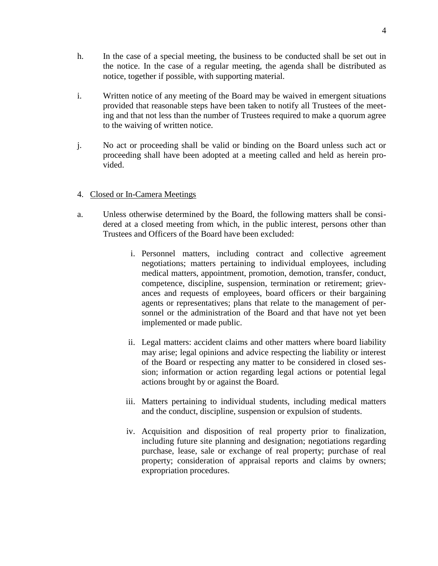- h. In the case of a special meeting, the business to be conducted shall be set out in the notice. In the case of a regular meeting, the agenda shall be distributed as notice, together if possible, with supporting material.
- i. Written notice of any meeting of the Board may be waived in emergent situations provided that reasonable steps have been taken to notify all Trustees of the meeting and that not less than the number of Trustees required to make a quorum agree to the waiving of written notice.
- j. No act or proceeding shall be valid or binding on the Board unless such act or proceeding shall have been adopted at a meeting called and held as herein provided.

# 4. Closed or In-Camera Meetings

- a. Unless otherwise determined by the Board, the following matters shall be considered at a closed meeting from which, in the public interest, persons other than Trustees and Officers of the Board have been excluded:
	- i. Personnel matters, including contract and collective agreement negotiations; matters pertaining to individual employees, including medical matters, appointment, promotion, demotion, transfer, conduct, competence, discipline, suspension, termination or retirement; grievances and requests of employees, board officers or their bargaining agents or representatives; plans that relate to the management of personnel or the administration of the Board and that have not yet been implemented or made public.
	- ii. Legal matters: accident claims and other matters where board liability may arise; legal opinions and advice respecting the liability or interest of the Board or respecting any matter to be considered in closed session; information or action regarding legal actions or potential legal actions brought by or against the Board.
	- iii. Matters pertaining to individual students, including medical matters and the conduct, discipline, suspension or expulsion of students.
	- iv. Acquisition and disposition of real property prior to finalization, including future site planning and designation; negotiations regarding purchase, lease, sale or exchange of real property; purchase of real property; consideration of appraisal reports and claims by owners; expropriation procedures.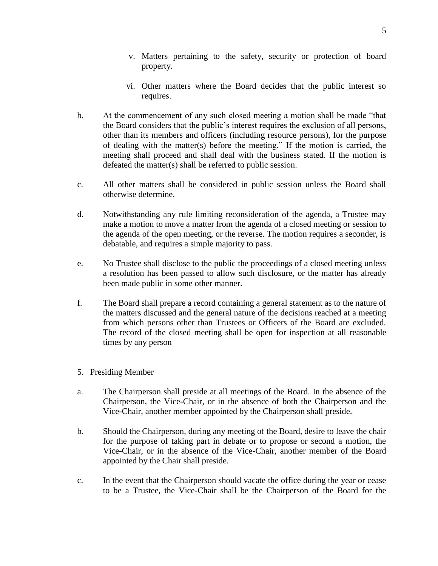- v. Matters pertaining to the safety, security or protection of board property.
- vi. Other matters where the Board decides that the public interest so requires.
- b. At the commencement of any such closed meeting a motion shall be made "that the Board considers that the public's interest requires the exclusion of all persons, other than its members and officers (including resource persons), for the purpose of dealing with the matter(s) before the meeting." If the motion is carried, the meeting shall proceed and shall deal with the business stated. If the motion is defeated the matter(s) shall be referred to public session.
- c. All other matters shall be considered in public session unless the Board shall otherwise determine.
- d. Notwithstanding any rule limiting reconsideration of the agenda, a Trustee may make a motion to move a matter from the agenda of a closed meeting or session to the agenda of the open meeting, or the reverse. The motion requires a seconder, is debatable, and requires a simple majority to pass.
- e. No Trustee shall disclose to the public the proceedings of a closed meeting unless a resolution has been passed to allow such disclosure, or the matter has already been made public in some other manner.
- f. The Board shall prepare a record containing a general statement as to the nature of the matters discussed and the general nature of the decisions reached at a meeting from which persons other than Trustees or Officers of the Board are excluded. The record of the closed meeting shall be open for inspection at all reasonable times by any person

# 5. Presiding Member

- a. The Chairperson shall preside at all meetings of the Board. In the absence of the Chairperson, the Vice-Chair, or in the absence of both the Chairperson and the Vice-Chair, another member appointed by the Chairperson shall preside.
- b. Should the Chairperson, during any meeting of the Board, desire to leave the chair for the purpose of taking part in debate or to propose or second a motion, the Vice-Chair, or in the absence of the Vice-Chair, another member of the Board appointed by the Chair shall preside.
- c. In the event that the Chairperson should vacate the office during the year or cease to be a Trustee, the Vice-Chair shall be the Chairperson of the Board for the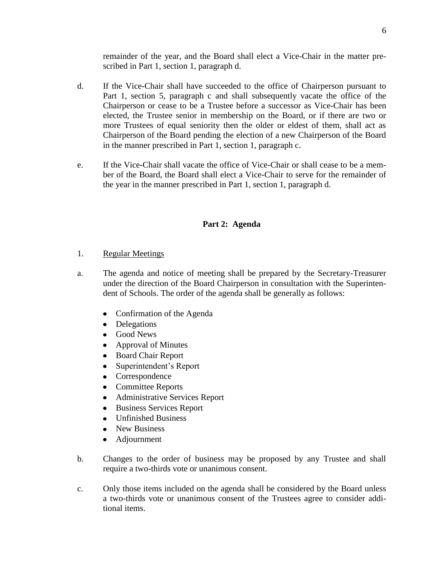remainder of the year, and the Board shall elect a Vice-Chair in the matter prescribed in Part 1, section 1, paragraph d.

- d. If the Vice-Chair shall have succeeded to the office of Chairperson pursuant to Part 1, section 5, paragraph c and shall subsequently vacate the office of the Chairperson or cease to be a Trustee before a successor as Vice-Chair has been elected, the Trustee senior in membership on the Board, or if there are two or more Trustees of equal seniority then the older or eldest of them, shall act as Chairperson of the Board pending the election of a new Chairperson of the Board in the manner prescribed in Part 1, section 1, paragraph c.
- e. If the Vice-Chair shall vacate the office of Vice-Chair or shall cease to be a member of the Board, the Board shall elect a Vice-Chair to serve for the remainder of the year in the manner prescribed in Part 1, section 1, paragraph d.

# **Part 2: Agenda**

- 1. Regular Meetings
- a. The agenda and notice of meeting shall be prepared by the Secretary-Treasurer under the direction of the Board Chairperson in consultation with the Superintendent of Schools. The order of the agenda shall be generally as follows:
	- Confirmation of the Agenda
	- Delegations
	- Good News
	- $\bullet$ Approval of Minutes
	- Board Chair Report  $\bullet$
	- Superintendent's Report  $\bullet$
	- Correspondence
	- Committee Reports
	- Administrative Services Report  $\bullet$
	- $\bullet$ Business Services Report
	- Unfinished Business
	- New Business
	- $\bullet$ Adjournment
- b. Changes to the order of business may be proposed by any Trustee and shall require a two-thirds vote or unanimous consent.
- c. Only those items included on the agenda shall be considered by the Board unless a two-thirds vote or unanimous consent of the Trustees agree to consider additional items.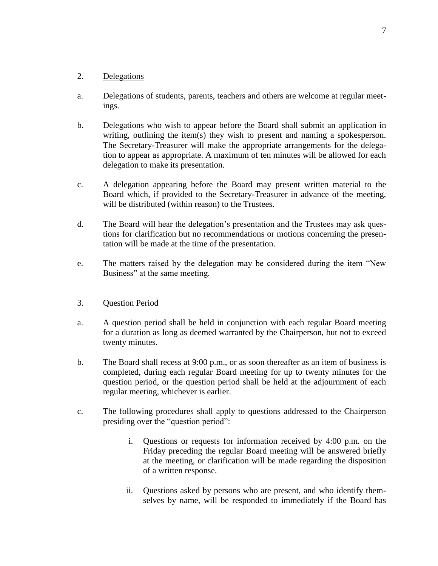### 2. Delegations

- a. Delegations of students, parents, teachers and others are welcome at regular meetings.
- b. Delegations who wish to appear before the Board shall submit an application in writing, outlining the item(s) they wish to present and naming a spokesperson. The Secretary-Treasurer will make the appropriate arrangements for the delegation to appear as appropriate. A maximum of ten minutes will be allowed for each delegation to make its presentation.
- c. A delegation appearing before the Board may present written material to the Board which, if provided to the Secretary-Treasurer in advance of the meeting, will be distributed (within reason) to the Trustees.
- d. The Board will hear the delegation's presentation and the Trustees may ask questions for clarification but no recommendations or motions concerning the presentation will be made at the time of the presentation.
- e. The matters raised by the delegation may be considered during the item "New Business" at the same meeting.

### 3. Question Period

- a. A question period shall be held in conjunction with each regular Board meeting for a duration as long as deemed warranted by the Chairperson, but not to exceed twenty minutes.
- b. The Board shall recess at 9:00 p.m., or as soon thereafter as an item of business is completed, during each regular Board meeting for up to twenty minutes for the question period, or the question period shall be held at the adjournment of each regular meeting, whichever is earlier.
- c. The following procedures shall apply to questions addressed to the Chairperson presiding over the "question period":
	- i. Questions or requests for information received by 4:00 p.m. on the Friday preceding the regular Board meeting will be answered briefly at the meeting, or clarification will be made regarding the disposition of a written response.
	- ii. Questions asked by persons who are present, and who identify themselves by name, will be responded to immediately if the Board has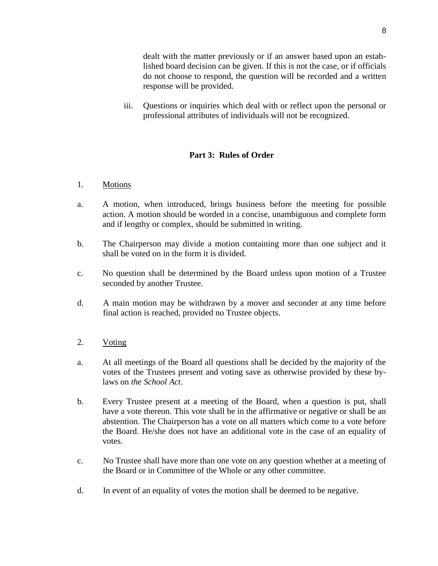dealt with the matter previously or if an answer based upon an established board decision can be given. If this is not the case, or if officials do not choose to respond, the question will be recorded and a written response will be provided.

iii. Questions or inquiries which deal with or reflect upon the personal or professional attributes of individuals will not be recognized.

# **Part 3: Rules of Order**

### 1. Motions

- a. A motion, when introduced, brings business before the meeting for possible action. A motion should be worded in a concise, unambiguous and complete form and if lengthy or complex, should be submitted in writing.
- b. The Chairperson may divide a motion containing more than one subject and it shall be voted on in the form it is divided.
- c. No question shall be determined by the Board unless upon motion of a Trustee seconded by another Trustee.
- d. A main motion may be withdrawn by a mover and seconder at any time before final action is reached, provided no Trustee objects.
- 2. Voting
- a. At all meetings of the Board all questions shall be decided by the majority of the votes of the Trustees present and voting save as otherwise provided by these bylaws on *the School Act*.
- b. Every Trustee present at a meeting of the Board, when a question is put, shall have a vote thereon. This vote shall be in the affirmative or negative or shall be an abstention. The Chairperson has a vote on all matters which come to a vote before the Board. He/she does not have an additional vote in the case of an equality of votes.
- c. No Trustee shall have more than one vote on any question whether at a meeting of the Board or in Committee of the Whole or any other committee.
- d. In event of an equality of votes the motion shall be deemed to be negative.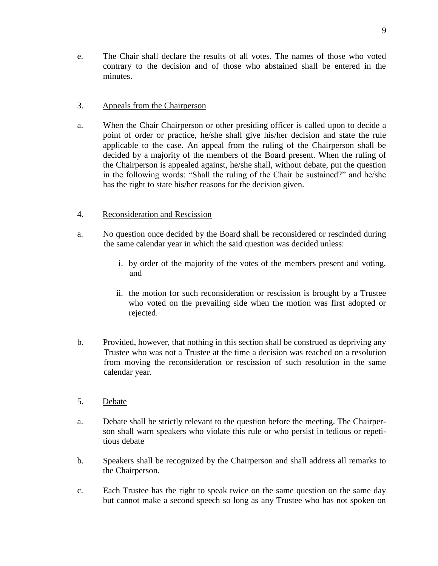# 3. Appeals from the Chairperson

a. When the Chair Chairperson or other presiding officer is called upon to decide a point of order or practice, he/she shall give his/her decision and state the rule applicable to the case. An appeal from the ruling of the Chairperson shall be decided by a majority of the members of the Board present. When the ruling of the Chairperson is appealed against, he/she shall, without debate, put the question in the following words: "Shall the ruling of the Chair be sustained?" and he/she has the right to state his/her reasons for the decision given.

# 4. Reconsideration and Rescission

- a. No question once decided by the Board shall be reconsidered or rescinded during the same calendar year in which the said question was decided unless:
	- i. by order of the majority of the votes of the members present and voting, and
	- ii. the motion for such reconsideration or rescission is brought by a Trustee who voted on the prevailing side when the motion was first adopted or rejected.
- b. Provided, however, that nothing in this section shall be construed as depriving any Trustee who was not a Trustee at the time a decision was reached on a resolution from moving the reconsideration or rescission of such resolution in the same calendar year.
- 5. Debate
- a. Debate shall be strictly relevant to the question before the meeting. The Chairperson shall warn speakers who violate this rule or who persist in tedious or repetitious debate
- b. Speakers shall be recognized by the Chairperson and shall address all remarks to the Chairperson.
- c. Each Trustee has the right to speak twice on the same question on the same day but cannot make a second speech so long as any Trustee who has not spoken on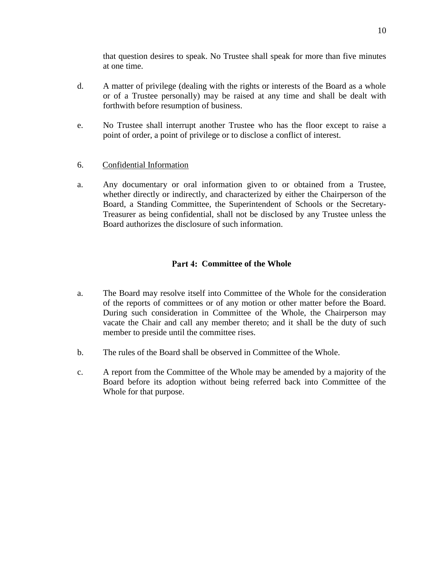that question desires to speak. No Trustee shall speak for more than five minutes at one time.

- d. A matter of privilege (dealing with the rights or interests of the Board as a whole or of a Trustee personally) may be raised at any time and shall be dealt with forthwith before resumption of business.
- e. No Trustee shall interrupt another Trustee who has the floor except to raise a point of order, a point of privilege or to disclose a conflict of interest.

# 6. Confidential Information

a. Any documentary or oral information given to or obtained from a Trustee, whether directly or indirectly, and characterized by either the Chairperson of the Board, a Standing Committee, the Superintendent of Schools or the Secretary-Treasurer as being confidential, shall not be disclosed by any Trustee unless the Board authorizes the disclosure of such information.

# Part 4: Committee of the Whole

- a. The Board may resolve itself into Committee of the Whole for the consideration of the reports of committees or of any motion or other matter before the Board. During such consideration in Committee of the Whole, the Chairperson may vacate the Chair and call any member thereto; and it shall be the duty of such member to preside until the committee rises.
- b. The rules of the Board shall be observed in Committee of the Whole.
- c. A report from the Committee of the Whole may be amended by a majority of the Board before its adoption without being referred back into Committee of the Whole for that purpose.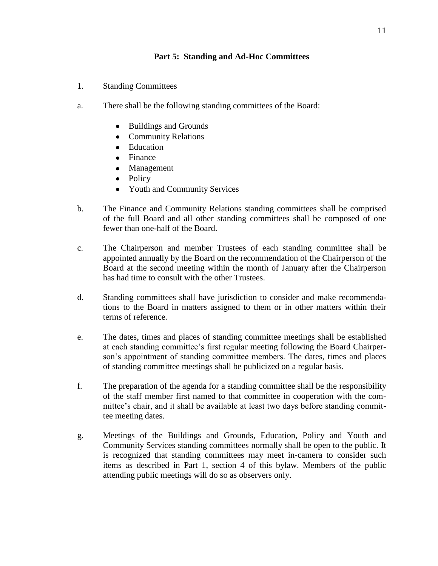# **Part 5: Standing and Ad-Hoc Committees**

- 1. Standing Committees
- a. There shall be the following standing committees of the Board:
	- Buildings and Grounds
	- Community Relations
	- Education
	- Finance
	- $\bullet$ Management
	- Policy
	- Youth and Community Services
- b. The Finance and Community Relations standing committees shall be comprised of the full Board and all other standing committees shall be composed of one fewer than one-half of the Board.
- c. The Chairperson and member Trustees of each standing committee shall be appointed annually by the Board on the recommendation of the Chairperson of the Board at the second meeting within the month of January after the Chairperson has had time to consult with the other Trustees.
- d. Standing committees shall have jurisdiction to consider and make recommendations to the Board in matters assigned to them or in other matters within their terms of reference.
- e. The dates, times and places of standing committee meetings shall be established at each standing committee's first regular meeting following the Board Chairperson's appointment of standing committee members. The dates, times and places of standing committee meetings shall be publicized on a regular basis.
- f. The preparation of the agenda for a standing committee shall be the responsibility of the staff member first named to that committee in cooperation with the committee's chair, and it shall be available at least two days before standing committee meeting dates.
- g. Meetings of the Buildings and Grounds, Education, Policy and Youth and Community Services standing committees normally shall be open to the public. It is recognized that standing committees may meet in-camera to consider such items as described in Part 1, section 4 of this bylaw. Members of the public attending public meetings will do so as observers only.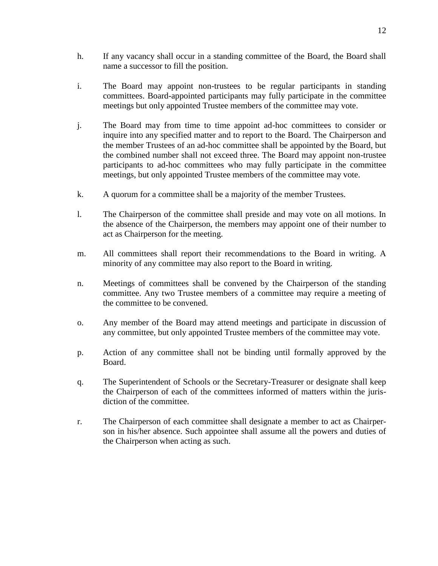- h. If any vacancy shall occur in a standing committee of the Board, the Board shall name a successor to fill the position.
- i. The Board may appoint non-trustees to be regular participants in standing committees. Board-appointed participants may fully participate in the committee meetings but only appointed Trustee members of the committee may vote.
- j. The Board may from time to time appoint ad-hoc committees to consider or inquire into any specified matter and to report to the Board. The Chairperson and the member Trustees of an ad-hoc committee shall be appointed by the Board, but the combined number shall not exceed three. The Board may appoint non-trustee participants to ad-hoc committees who may fully participate in the committee meetings, but only appointed Trustee members of the committee may vote.
- k. A quorum for a committee shall be a majority of the member Trustees.
- l. The Chairperson of the committee shall preside and may vote on all motions. In the absence of the Chairperson, the members may appoint one of their number to act as Chairperson for the meeting.
- m. All committees shall report their recommendations to the Board in writing. A minority of any committee may also report to the Board in writing.
- n. Meetings of committees shall be convened by the Chairperson of the standing committee. Any two Trustee members of a committee may require a meeting of the committee to be convened.
- o. Any member of the Board may attend meetings and participate in discussion of any committee, but only appointed Trustee members of the committee may vote.
- p. Action of any committee shall not be binding until formally approved by the Board.
- q. The Superintendent of Schools or the Secretary-Treasurer or designate shall keep the Chairperson of each of the committees informed of matters within the jurisdiction of the committee.
- r. The Chairperson of each committee shall designate a member to act as Chairperson in his/her absence. Such appointee shall assume all the powers and duties of the Chairperson when acting as such.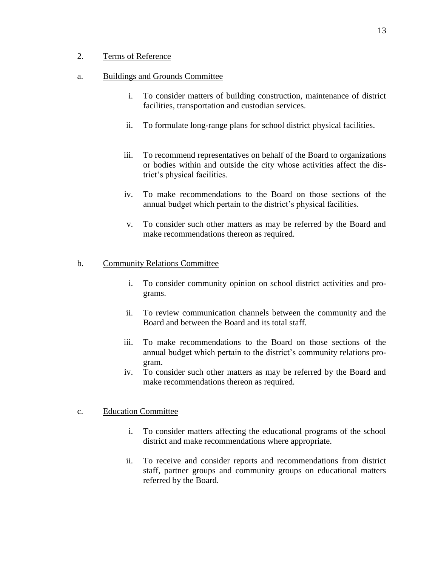### 2. Terms of Reference

#### a. Buildings and Grounds Committee

- i. To consider matters of building construction, maintenance of district facilities, transportation and custodian services.
- ii. To formulate long-range plans for school district physical facilities.
- iii. To recommend representatives on behalf of the Board to organizations or bodies within and outside the city whose activities affect the district's physical facilities.
- iv. To make recommendations to the Board on those sections of the annual budget which pertain to the district's physical facilities.
- v. To consider such other matters as may be referred by the Board and make recommendations thereon as required.

### b. Community Relations Committee

- i. To consider community opinion on school district activities and programs.
- ii. To review communication channels between the community and the Board and between the Board and its total staff.
- iii. To make recommendations to the Board on those sections of the annual budget which pertain to the district's community relations program.
- iv. To consider such other matters as may be referred by the Board and make recommendations thereon as required.

#### c. Education Committee

- i. To consider matters affecting the educational programs of the school district and make recommendations where appropriate.
- ii. To receive and consider reports and recommendations from district staff, partner groups and community groups on educational matters referred by the Board.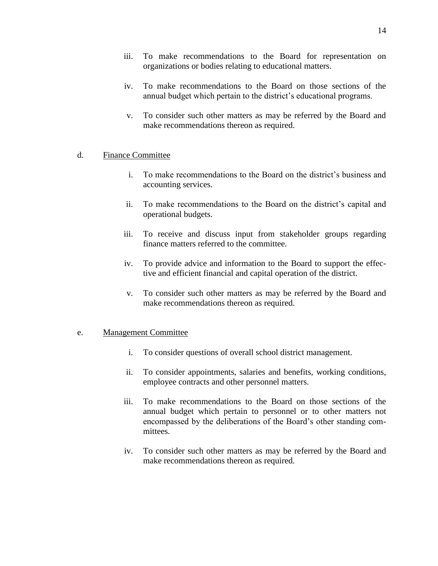- iv. To make recommendations to the Board on those sections of the annual budget which pertain to the district's educational programs.
- v. To consider such other matters as may be referred by the Board and make recommendations thereon as required.

### d. Finance Committee

- i. To make recommendations to the Board on the district's business and accounting services.
- ii. To make recommendations to the Board on the district's capital and operational budgets.
- iii. To receive and discuss input from stakeholder groups regarding finance matters referred to the committee.
- iv. To provide advice and information to the Board to support the effective and efficient financial and capital operation of the district.
- v. To consider such other matters as may be referred by the Board and make recommendations thereon as required.

### e. Management Committee

- i. To consider questions of overall school district management.
- ii. To consider appointments, salaries and benefits, working conditions, employee contracts and other personnel matters.
- iii. To make recommendations to the Board on those sections of the annual budget which pertain to personnel or to other matters not encompassed by the deliberations of the Board's other standing committees.
- iv. To consider such other matters as may be referred by the Board and make recommendations thereon as required.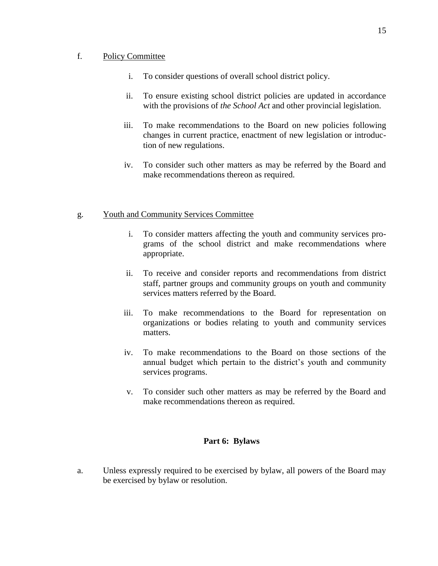#### f. Policy Committee

- i. To consider questions of overall school district policy.
- ii. To ensure existing school district policies are updated in accordance with the provisions of *the School Act* and other provincial legislation.
- iii. To make recommendations to the Board on new policies following changes in current practice, enactment of new legislation or introduction of new regulations.
- iv. To consider such other matters as may be referred by the Board and make recommendations thereon as required.

# g. Youth and Community Services Committee

- i. To consider matters affecting the youth and community services programs of the school district and make recommendations where appropriate.
- ii. To receive and consider reports and recommendations from district staff, partner groups and community groups on youth and community services matters referred by the Board.
- iii. To make recommendations to the Board for representation on organizations or bodies relating to youth and community services matters.
- iv. To make recommendations to the Board on those sections of the annual budget which pertain to the district's youth and community services programs.
- v. To consider such other matters as may be referred by the Board and make recommendations thereon as required.

### **Part 6: Bylaws**

a. Unless expressly required to be exercised by bylaw, all powers of the Board may be exercised by bylaw or resolution.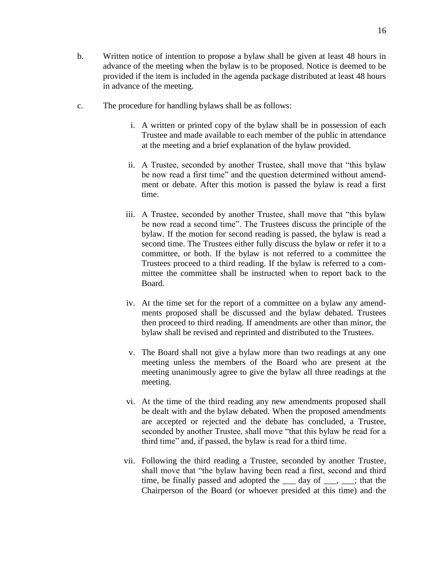- b. Written notice of intention to propose a bylaw shall be given at least 48 hours in advance of the meeting when the bylaw is to be proposed. Notice is deemed to be provided if the item is included in the agenda package distributed at least 48 hours in advance of the meeting.
- c. The procedure for handling bylaws shall be as follows:
	- i. A written or printed copy of the bylaw shall be in possession of each Trustee and made available to each member of the public in attendance at the meeting and a brief explanation of the bylaw provided.
	- ii. A Trustee, seconded by another Trustee, shall move that "this bylaw be now read a first time" and the question determined without amendment or debate. After this motion is passed the bylaw is read a first time.
	- iii. A Trustee, seconded by another Trustee, shall move that "this bylaw be now read a second time". The Trustees discuss the principle of the bylaw. If the motion for second reading is passed, the bylaw is read a second time. The Trustees either fully discuss the bylaw or refer it to a committee, or both. If the bylaw is not referred to a committee the Trustees proceed to a third reading. If the bylaw is referred to a committee the committee shall be instructed when to report back to the Board.
	- iv. At the time set for the report of a committee on a bylaw any amendments proposed shall be discussed and the bylaw debated. Trustees then proceed to third reading. If amendments are other than minor, the bylaw shall be revised and reprinted and distributed to the Trustees.
	- v. The Board shall not give a bylaw more than two readings at any one meeting unless the members of the Board who are present at the meeting unanimously agree to give the bylaw all three readings at the meeting.
	- vi. At the time of the third reading any new amendments proposed shall be dealt with and the bylaw debated. When the proposed amendments are accepted or rejected and the debate has concluded, a Trustee, seconded by another Trustee, shall move "that this bylaw be read for a third time" and, if passed, the bylaw is read for a third time.
	- vii. Following the third reading a Trustee, seconded by another Trustee, shall move that "the bylaw having been read a first, second and third time, be finally passed and adopted the  $\qquad$  day of  $\qquad$ ,  $\qquad$ ; that the Chairperson of the Board (or whoever presided at this time) and the